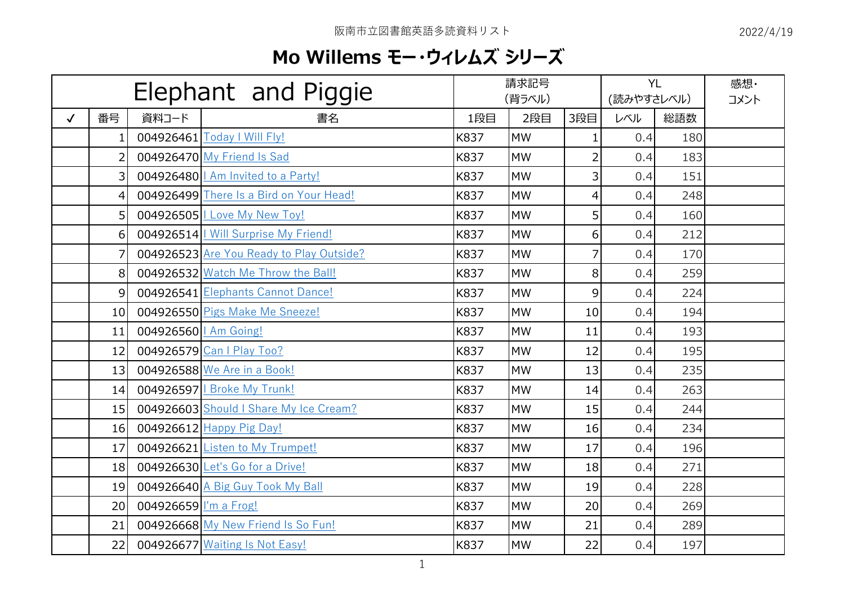## **Mo Willems モー・ウィレムズ シリーズ**

| Elephant and Piggie |                |                         | 請求記号<br>(背ラベル)                           |      |           | <b>YL</b><br>(読みやすさレベル) |     | 感想·<br>コメント |  |
|---------------------|----------------|-------------------------|------------------------------------------|------|-----------|-------------------------|-----|-------------|--|
| $\checkmark$        | 番号             | 資料コード                   | 書名                                       | 1段目  | 2段目       | 3段目                     | レベル | 総語数         |  |
|                     |                |                         | 004926461 Today   Will Fly!              | K837 | <b>MW</b> | 1                       | 0.4 | 180         |  |
|                     | $\overline{2}$ |                         | 004926470 My Friend Is Sad               | K837 | <b>MW</b> | $\overline{2}$          | 0.4 | 183         |  |
|                     | $\overline{3}$ |                         | 004926480   Am Invited to a Party!       | K837 | <b>MW</b> | 3                       | 0.4 | 151         |  |
|                     | $\overline{4}$ |                         | 004926499 There Is a Bird on Your Head!  | K837 | <b>MW</b> | 4                       | 0.4 | 248         |  |
|                     | 5 <sup>1</sup> |                         | 004926505   Love My New Toy!             | K837 | <b>MW</b> | 5                       | 0.4 | 160         |  |
|                     | 6              |                         | 004926514   Will Surprise My Friend!     | K837 | <b>MW</b> | 6                       | 0.4 | 212         |  |
|                     | $\overline{7}$ |                         | 004926523 Are You Ready to Play Outside? | K837 | <b>MW</b> | $\overline{7}$          | 0.4 | 170         |  |
|                     | 8              |                         | 004926532 Watch Me Throw the Ball!       | K837 | <b>MW</b> | 8                       | 0.4 | 259         |  |
|                     | $\overline{9}$ |                         | 004926541 Elephants Cannot Dance!        | K837 | <b>MW</b> | 9                       | 0.4 | 224         |  |
|                     | 10             |                         | 004926550 Pigs Make Me Sneeze!           | K837 | <b>MW</b> | 10                      | 0.4 | 194         |  |
|                     | 11             | 004926560   Am Going!   |                                          | K837 | <b>MW</b> | 11                      | 0.4 | 193         |  |
|                     | 12             |                         | 004926579 Can I Play Too?                | K837 | <b>MW</b> | 12                      | 0.4 | 195         |  |
|                     | 13             |                         | 004926588 We Are in a Book!              | K837 | <b>MW</b> | 13                      | 0.4 | 235         |  |
|                     | 14             |                         | 004926597   Broke My Trunk!              | K837 | <b>MW</b> | 14                      | 0.4 | 263         |  |
|                     | 15             |                         | 004926603 Should I Share My Ice Cream?   | K837 | <b>MW</b> | 15                      | 0.4 | 244         |  |
|                     | 16             |                         | 004926612 Happy Pig Day!                 | K837 | <b>MW</b> | 16                      | 0.4 | 234         |  |
|                     | 17             |                         | 004926621 Listen to My Trumpet!          | K837 | <b>MW</b> | 17                      | 0.4 | 196         |  |
|                     | 18             |                         | 004926630 Let's Go for a Drive!          | K837 | <b>MW</b> | 18                      | 0.4 | 271         |  |
|                     | 19             |                         | 004926640 A Big Guy Took My Ball         | K837 | <b>MW</b> | 19                      | 0.4 | 228         |  |
|                     | 20             | 004926659   I'm a Frog! |                                          | K837 | <b>MW</b> | 20                      | 0.4 | 269         |  |
|                     | 21             |                         | 004926668 My New Friend Is So Fun!       | K837 | <b>MW</b> | 21                      | 0.4 | 289         |  |
|                     | 22             |                         | 004926677 Waiting Is Not Easy!           | K837 | <b>MW</b> | 22                      | 0.4 | 197         |  |